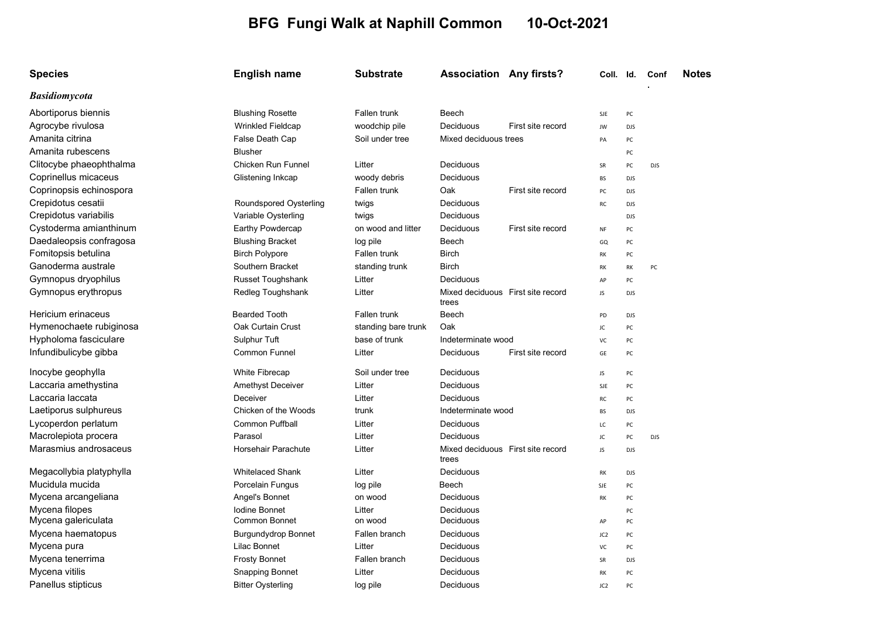## BFG Fungi Walk at Naphill Common 10-Oct-2021

| <b>Species</b>           | <b>English name</b>        | <b>Substrate</b>    | <b>Association Any firsts?</b>             |                   | Coll. Id.       |            | Conf       | <b>Notes</b> |
|--------------------------|----------------------------|---------------------|--------------------------------------------|-------------------|-----------------|------------|------------|--------------|
| <b>Basidiomycota</b>     |                            |                     |                                            |                   |                 |            |            |              |
| Abortiporus biennis      | <b>Blushing Rosette</b>    | Fallen trunk        | Beech                                      |                   | <b>SJE</b>      | PC         |            |              |
| Agrocybe rivulosa        | <b>Wrinkled Fieldcap</b>   | woodchip pile       | Deciduous                                  | First site record | JW              | <b>DJS</b> |            |              |
| Amanita citrina          | False Death Cap            | Soil under tree     | Mixed deciduous trees                      |                   | PA              | PC         |            |              |
| Amanita rubescens        | <b>Blusher</b>             |                     |                                            |                   |                 | PC         |            |              |
| Clitocybe phaeophthalma  | Chicken Run Funnel         | Litter              | Deciduous                                  |                   | SR              | PC         | <b>DJS</b> |              |
| Coprinellus micaceus     | Glistening Inkcap          | woody debris        | Deciduous                                  |                   | BS              | <b>DJS</b> |            |              |
| Coprinopsis echinospora  |                            | Fallen trunk        | Oak                                        | First site record | PC              | <b>DJS</b> |            |              |
| Crepidotus cesatii       | Roundspored Oysterling     | twigs               | Deciduous                                  |                   | RC              | <b>DJS</b> |            |              |
| Crepidotus variabilis    | Variable Oysterling        | twigs               | Deciduous                                  |                   |                 | <b>DJS</b> |            |              |
| Cystoderma amianthinum   | Earthy Powdercap           | on wood and litter  | Deciduous                                  | First site record | NF              | PC         |            |              |
| Daedaleopsis confragosa  | <b>Blushing Bracket</b>    | log pile            | Beech                                      |                   | GQ              | PC         |            |              |
| Fomitopsis betulina      | <b>Birch Polypore</b>      | Fallen trunk        | <b>Birch</b>                               |                   | RK              | PC         |            |              |
| Ganoderma australe       | Southern Bracket           | standing trunk      | <b>Birch</b>                               |                   | RK              | RK         | PC         |              |
| Gymnopus dryophilus      | Russet Toughshank          | Litter              | Deciduous                                  |                   | AP              | PC         |            |              |
| Gymnopus erythropus      | Redleg Toughshank          | Litter              | Mixed deciduous First site record<br>trees |                   | JS              | <b>DJS</b> |            |              |
| Hericium erinaceus       | <b>Bearded Tooth</b>       | Fallen trunk        | Beech                                      |                   | PD              | <b>DJS</b> |            |              |
| Hymenochaete rubiginosa  | Oak Curtain Crust          | standing bare trunk | Oak                                        |                   | JC              | PC         |            |              |
| Hypholoma fasciculare    | Sulphur Tuft               | base of trunk       | Indeterminate wood                         |                   | VC              | PC         |            |              |
| Infundibulicybe gibba    | Common Funnel              | Litter              | Deciduous                                  | First site record | GE              | PC         |            |              |
| Inocybe geophylla        | <b>White Fibrecap</b>      | Soil under tree     | Deciduous                                  |                   | JS              | PC         |            |              |
| Laccaria amethystina     | Amethyst Deceiver          | Litter              | Deciduous                                  |                   | <b>SJE</b>      | PC         |            |              |
| Laccaria laccata         | Deceiver                   | Litter              | Deciduous                                  |                   | RC              | PC         |            |              |
| Laetiporus sulphureus    | Chicken of the Woods       | trunk               | Indeterminate wood                         |                   | <b>BS</b>       | <b>DJS</b> |            |              |
| Lycoperdon perlatum      | <b>Common Puffball</b>     | Litter              | Deciduous                                  |                   | LC              | PC         |            |              |
| Macrolepiota procera     | Parasol                    | Litter              | Deciduous                                  |                   | JC              | PC         | <b>DJS</b> |              |
| Marasmius androsaceus    | Horsehair Parachute        | Litter              | Mixed deciduous First site record<br>trees |                   | JS              | <b>DJS</b> |            |              |
| Megacollybia platyphylla | <b>Whitelaced Shank</b>    | Litter              | Deciduous                                  |                   | RK              | <b>DJS</b> |            |              |
| Mucidula mucida          | Porcelain Fungus           | log pile            | Beech                                      |                   | SJE             | PC         |            |              |
| Mycena arcangeliana      | Angel's Bonnet             | on wood             | Deciduous                                  |                   | RK              | PC         |            |              |
| Mycena filopes           | <b>Iodine Bonnet</b>       | Litter              | Deciduous                                  |                   |                 | PC         |            |              |
| Mycena galericulata      | <b>Common Bonnet</b>       | on wood             | Deciduous                                  |                   | AP              | PC         |            |              |
| Mycena haematopus        | <b>Burgundydrop Bonnet</b> | Fallen branch       | Deciduous                                  |                   | JC <sub>2</sub> | PC         |            |              |
| Mycena pura              | Lilac Bonnet               | Litter              | Deciduous                                  |                   | VC              | PC         |            |              |
| Mycena tenerrima         | <b>Frosty Bonnet</b>       | Fallen branch       | Deciduous                                  |                   | SR              | <b>DJS</b> |            |              |
| Mycena vitilis           | <b>Snapping Bonnet</b>     | Litter              | Deciduous                                  |                   | RK              | PC         |            |              |
| Panellus stipticus       | Bitter Oysterling          | log pile            | Deciduous                                  |                   | JC <sub>2</sub> | PC         |            |              |